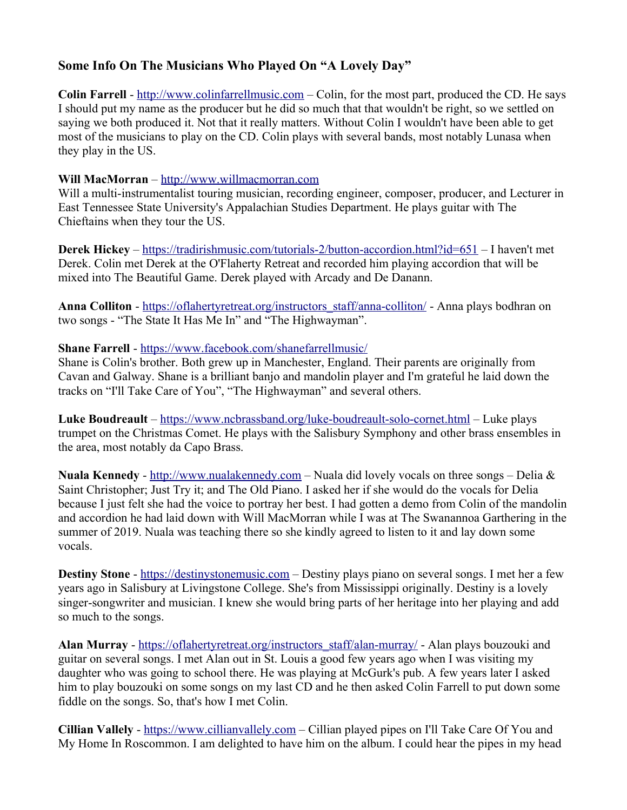## **Some Info On The Musicians Who Played On "A Lovely Day"**

**Colin Farrell** - [http://www.colinfarrellmusic.com](http://www.colinfarrellmusic.com/) – Colin, for the most part, produced the CD. He says I should put my name as the producer but he did so much that that wouldn't be right, so we settled on saying we both produced it. Not that it really matters. Without Colin I wouldn't have been able to get most of the musicians to play on the CD. Colin plays with several bands, most notably Lunasa when they play in the US.

## **Will MacMorran** – [http://www.willmacmorran.com](http://www.willmacmorran.com/)

Will a multi-instrumentalist touring musician, recording engineer, composer, producer, and Lecturer in East Tennessee State University's Appalachian Studies Department. He plays guitar with The Chieftains when they tour the US.

**Derek Hickey** –<https://tradirishmusic.com/tutorials-2/button-accordion.html?id=651>– I haven't met Derek. Colin met Derek at the O'Flaherty Retreat and recorded him playing accordion that will be mixed into The Beautiful Game. Derek played with Arcady and De Danann.

Anna Colliton - [https://oflahertyretreat.org/instructors\\_staff/anna-colliton/](https://oflahertyretreat.org/instructors_staff/anna-colliton/) - Anna plays bodhran on two songs - "The State It Has Me In" and "The Highwayman".

## **Shane Farrell** -<https://www.facebook.com/shanefarrellmusic/>

Shane is Colin's brother. Both grew up in Manchester, England. Their parents are originally from Cavan and Galway. Shane is a brilliant banjo and mandolin player and I'm grateful he laid down the tracks on "I'll Take Care of You", "The Highwayman" and several others.

**Luke Boudreault** –<https://www.ncbrassband.org/luke-boudreault-solo-cornet.html>– Luke plays trumpet on the Christmas Comet. He plays with the Salisbury Symphony and other brass ensembles in the area, most notably da Capo Brass.

**Nuala Kennedy** - [http://www.nualakennedy.com](http://www.nualakennedy.com/) – Nuala did lovely vocals on three songs – Delia  $\&$ Saint Christopher; Just Try it; and The Old Piano. I asked her if she would do the vocals for Delia because I just felt she had the voice to portray her best. I had gotten a demo from Colin of the mandolin and accordion he had laid down with Will MacMorran while I was at The Swanannoa Garthering in the summer of 2019. Nuala was teaching there so she kindly agreed to listen to it and lay down some vocals.

**Destiny Stone -** [https://destinystonemusic.com](https://destinystonemusic.com/) – Destiny plays piano on several songs. I met her a few years ago in Salisbury at Livingstone College. She's from Mississippi originally. Destiny is a lovely singer-songwriter and musician. I knew she would bring parts of her heritage into her playing and add so much to the songs.

**Alan Murray** - [https://oflahertyretreat.org/instructors\\_staff/alan-murray/](https://oflahertyretreat.org/instructors_staff/alan-murray/) - Alan plays bouzouki and guitar on several songs. I met Alan out in St. Louis a good few years ago when I was visiting my daughter who was going to school there. He was playing at McGurk's pub. A few years later I asked him to play bouzouki on some songs on my last CD and he then asked Colin Farrell to put down some fiddle on the songs. So, that's how I met Colin.

**Cillian Vallely** - [https://www.cillianvallely.com](https://www.cillianvallely.com/) – Cillian played pipes on I'll Take Care Of You and My Home In Roscommon. I am delighted to have him on the album. I could hear the pipes in my head